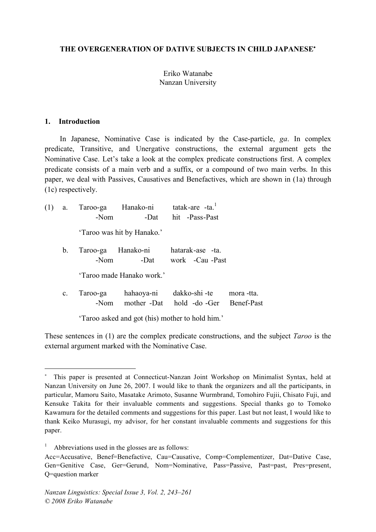## **THE OVERGENERATION OF DATIVE SUBJECTS IN CHILD JAPANESE**<sup>∗</sup>

# Eriko Watanabe Nanzan University

#### **1. Introduction**

<u>.</u>

In Japanese, Nominative Case is indicated by the Case-particle, *ga*. In complex predicate, Transitive, and Unergative constructions, the external argument gets the Nominative Case. Let's take a look at the complex predicate constructions first. A complex predicate consists of a main verb and a suffix, or a compound of two main verbs. In this paper, we deal with Passives, Causatives and Benefactives, which are shown in (1a) through (1c) respectively.

| (1) | a.          | -Nom     | Taroo-ga Hanako-ni tatak-are -ta. <sup>1</sup> | -Dat hit -Pass-Past                                         |            |
|-----|-------------|----------|------------------------------------------------|-------------------------------------------------------------|------------|
|     |             |          | 'Taroo was hit by Hanako.'                     |                                                             |            |
|     | $b_{\cdot}$ | -Nom     |                                                | Taroo-ga Hanako-ni hatarak-ase -ta.<br>-Dat work -Cau -Past |            |
|     |             |          | 'Taroo made Hanako work.'                      |                                                             |            |
|     | $c_{\cdot}$ | Taroo-ga | hahaoya-ni                                     | dakko-shi -te<br>-Nom mother -Dat hold -do -Ger Benef-Past  | mora -tta. |

'Taroo asked and got (his) mother to hold him.'

These sentences in (1) are the complex predicate constructions, and the subject *Taroo* is the external argument marked with the Nominative Case.

This paper is presented at Connecticut-Nanzan Joint Workshop on Minimalist Syntax, held at Nanzan University on June 26, 2007. I would like to thank the organizers and all the participants, in particular, Mamoru Saito, Masatake Arimoto, Susanne Wurmbrand, Tomohiro Fujii, Chisato Fuji, and Kensuke Takita for their invaluable comments and suggestions. Special thanks go to Tomoko Kawamura for the detailed comments and suggestions for this paper. Last but not least, I would like to thank Keiko Murasugi, my advisor, for her constant invaluable comments and suggestions for this paper.

Abbreviations used in the glosses are as follows:

Acc=Accusative, Benef=Benefactive, Cau=Causative, Comp=Complementizer, Dat=Dative Case, Gen=Genitive Case, Ger=Gerund, Nom=Nominative, Pass=Passive, Past=past, Pres=present, Q=question marker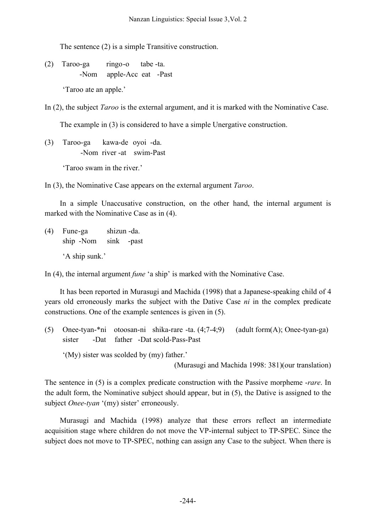The sentence (2) is a simple Transitive construction.

(2) Taroo-ga ringo-o tabe -ta. -Nom apple-Acc eat -Past

'Taroo ate an apple.'

In (2), the subject *Taroo* is the external argument, and it is marked with the Nominative Case.

The example in (3) is considered to have a simple Unergative construction.

(3) Taroo-ga kawa-de oyoi -da. -Nom river -at swim-Past

'Taroo swam in the river.'

In (3), the Nominative Case appears on the external argument *Taroo*.

In a simple Unaccusative construction, on the other hand, the internal argument is marked with the Nominative Case as in (4).

(4) Fune-ga shizun -da. ship -Nom sink -past

'A ship sunk.'

In (4), the internal argument *fune* 'a ship' is marked with the Nominative Case.

It has been reported in Murasugi and Machida (1998) that a Japanese-speaking child of 4 years old erroneously marks the subject with the Dative Case *ni* in the complex predicate constructions. One of the example sentences is given in (5).

(5) Onee-tyan-\*ni otoosan-ni shika-rare -ta. (4;7-4;9) (adult form(A); Onee-tyan-ga) sister -Dat father -Dat scold-Pass-Past

'(My) sister was scolded by (my) father.'

(Murasugi and Machida 1998: 381)(our translation)

The sentence in (5) is a complex predicate construction with the Passive morpheme -*rare*. In the adult form, the Nominative subject should appear, but in (5), the Dative is assigned to the subject *Onee-tyan* '(my) sister' erroneously.

Murasugi and Machida (1998) analyze that these errors reflect an intermediate acquisition stage where children do not move the VP-internal subject to TP-SPEC. Since the subject does not move to TP-SPEC, nothing can assign any Case to the subject. When there is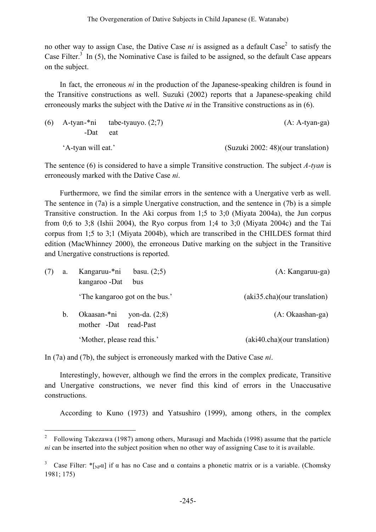no other way to assign Case, the Dative Case *ni* is assigned as a default Case <sup>2</sup> to satisfy the Case Filter.<sup>3</sup> In (5), the Nominative Case is failed to be assigned, so the default Case appears on the subject.

In fact, the erroneous *ni* in the production of the Japanese-speaking children is found in the Transitive constructions as well. Suzuki (2002) reports that a Japanese-speaking child erroneously marks the subject with the Dative *ni* in the Transitive constructions as in (6).

|                    | (6) A-tyan-*ni tabe-tyauyo. $(2,7)$ | $(A: A-tyan-ga)$                   |
|--------------------|-------------------------------------|------------------------------------|
| -Dat               | eat                                 |                                    |
| 'A-tyan will eat.' |                                     | (Suzuki 2002: 48)(our translation) |

The sentence (6) is considered to have a simple Transitive construction. The subject *A-tyan* is erroneously marked with the Dative Case *ni*.

Furthermore, we find the similar errors in the sentence with a Unergative verb as well. The sentence in (7a) is a simple Unergative construction, and the sentence in (7b) is a simple Transitive construction. In the Aki corpus from 1;5 to 3;0 (Miyata 2004a), the Jun corpus from 0;6 to 3;8 (Ishii 2004), the Ryo corpus from 1;4 to 3;0 (Miyata 2004c) and the Tai corpus from 1;5 to 3;1 (Miyata 2004b), which are transcribed in the CHILDES format third edition (MacWhinney 2000), the erroneous Dative marking on the subject in the Transitive and Unergative constructions is reported.

| (7) | a. | Kangaruu-*ni<br>basu. $(2,5)$<br>kangaroo -Dat<br>bus   | (A: Kangaruu-ga)             |
|-----|----|---------------------------------------------------------|------------------------------|
|     |    | The kangaroo got on the bus.'                           | (aki35.cha)(our translation) |
|     | b. | Okaasan-*ni<br>yon-da. $(2,8)$<br>mother -Dat read-Past | $(A: Okaashan-ga)$           |
|     |    | 'Mother, please read this.'                             | (aki40.cha)(our translation) |

In (7a) and (7b), the subject is erroneously marked with the Dative Case *ni*.

Interestingly, however, although we find the errors in the complex predicate, Transitive and Unergative constructions, we never find this kind of errors in the Unaccusative constructions.

According to Kuno (1973) and Yatsushiro (1999), among others, in the complex

 <sup>2</sup> Following Takezawa (1987) among others, Murasugi and Machida (1998) assume that the particle *ni* can be inserted into the subject position when no other way of assigning Case to it is available.

<sup>&</sup>lt;sup>3</sup> Case Filter: \*[<sub>NP</sub>α] if α has no Case and α contains a phonetic matrix or is a variable. (Chomsky 1981; 175)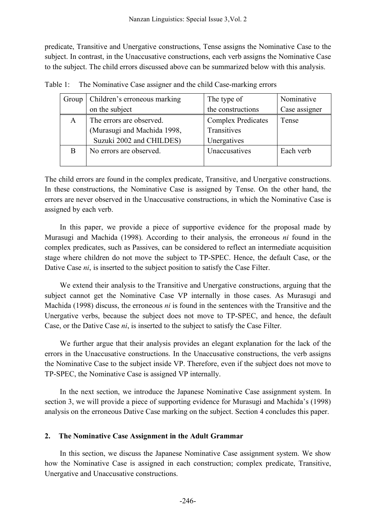predicate, Transitive and Unergative constructions, Tense assigns the Nominative Case to the subject. In contrast, in the Unaccusative constructions, each verb assigns the Nominative Case to the subject. The child errors discussed above can be summarized below with this analysis.

| Group | Children's erroneous marking | The type of               | Nominative    |
|-------|------------------------------|---------------------------|---------------|
|       | on the subject               | the constructions         | Case assigner |
| A     | The errors are observed.     | <b>Complex Predicates</b> | Tense         |
|       | (Murasugi and Machida 1998,  | Transitives               |               |
|       | Suzuki 2002 and CHILDES)     | Unergatives               |               |
| B     | No errors are observed.      | Unaccusatives             | Each verb     |
|       |                              |                           |               |

Table 1: The Nominative Case assigner and the child Case-marking errors

The child errors are found in the complex predicate, Transitive, and Unergative constructions. In these constructions, the Nominative Case is assigned by Tense. On the other hand, the errors are never observed in the Unaccusative constructions, in which the Nominative Case is assigned by each verb.

In this paper, we provide a piece of supportive evidence for the proposal made by Murasugi and Machida (1998). According to their analysis, the erroneous *ni* found in the complex predicates, such as Passives, can be considered to reflect an intermediate acquisition stage where children do not move the subject to TP-SPEC. Hence, the default Case, or the Dative Case *ni*, is inserted to the subject position to satisfy the Case Filter.

We extend their analysis to the Transitive and Unergative constructions, arguing that the subject cannot get the Nominative Case VP internally in those cases. As Murasugi and Machida (1998) discuss, the erroneous *ni* is found in the sentences with the Transitive and the Unergative verbs, because the subject does not move to TP-SPEC, and hence, the default Case, or the Dative Case *ni*, is inserted to the subject to satisfy the Case Filter.

We further argue that their analysis provides an elegant explanation for the lack of the errors in the Unaccusative constructions. In the Unaccusative constructions, the verb assigns the Nominative Case to the subject inside VP. Therefore, even if the subject does not move to TP-SPEC, the Nominative Case is assigned VP internally.

In the next section, we introduce the Japanese Nominative Case assignment system. In section 3, we will provide a piece of supporting evidence for Murasugi and Machida's (1998) analysis on the erroneous Dative Case marking on the subject. Section 4 concludes this paper.

## **2. The Nominative Case Assignment in the Adult Grammar**

In this section, we discuss the Japanese Nominative Case assignment system. We show how the Nominative Case is assigned in each construction; complex predicate, Transitive, Unergative and Unaccusative constructions.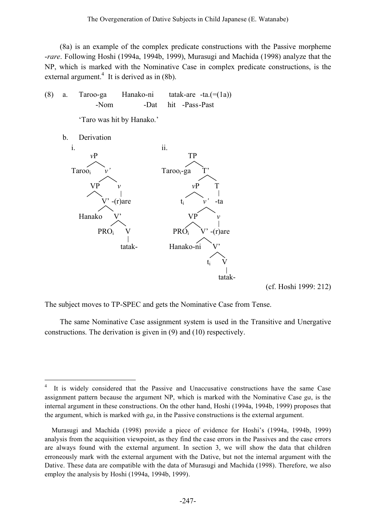(8a) is an example of the complex predicate constructions with the Passive morpheme -*rare*. Following Hoshi (1994a, 1994b, 1999), Murasugi and Machida (1998) analyze that the NP, which is marked with the Nominative Case in complex predicate constructions, is the external argument.<sup>4</sup> It is derived as in (8b).

(8) a. Taroo-ga Hanako-ni tatak-are -ta.(=(1a)) -Nom -Dat hit -Pass-Past

'Taro was hit by Hanako.'

b. Derivation



(cf. Hoshi 1999: 212)

The subject moves to TP-SPEC and gets the Nominative Case from Tense.

The same Nominative Case assignment system is used in the Transitive and Unergative constructions. The derivation is given in (9) and (10) respectively.

<sup>&</sup>lt;sup>4</sup> It is widely considered that the Passive and Unaccusative constructions have the same Case assignment pattern because the argument NP, which is marked with the Nominative Case *ga*, is the internal argument in these constructions. On the other hand, Hoshi (1994a, 1994b, 1999) proposes that the argument, which is marked with *ga*, in the Passive constructions is the external argument.

Murasugi and Machida (1998) provide a piece of evidence for Hoshi's (1994a, 1994b, 1999) analysis from the acquisition viewpoint, as they find the case errors in the Passives and the case errors are always found with the external argument. In section 3, we will show the data that children erroneously mark with the external argument with the Dative, but not the internal argument with the Dative. These data are compatible with the data of Murasugi and Machida (1998). Therefore, we also employ the analysis by Hoshi (1994a, 1994b, 1999).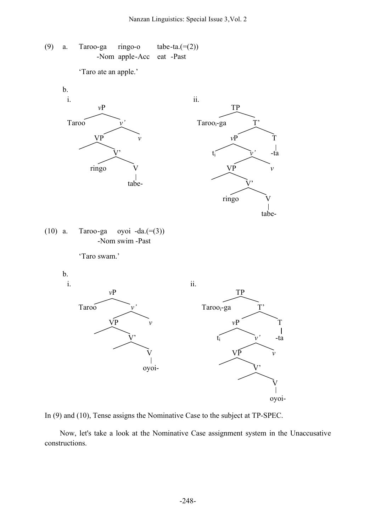(9) a. Taroo-ga ringo-o tabe-ta. $(=(2))$ -Nom apple-Acc eat -Past

'Taro ate an apple.'



In (9) and (10), Tense assigns the Nominative Case to the subject at TP-SPEC.

Now, let's take a look at the Nominative Case assignment system in the Unaccusative constructions.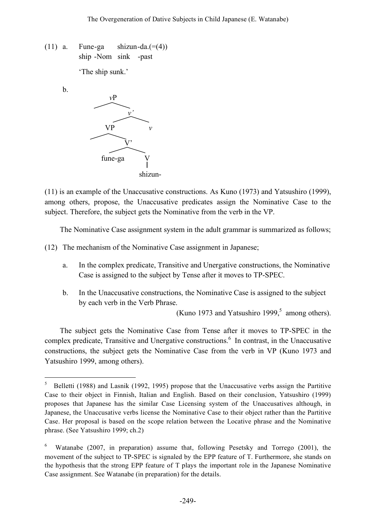(11) a. Fune-ga shizun-da. $(=(4))$ ship -Nom sink -past

'The ship sunk.'

b.



(11) is an example of the Unaccusative constructions. As Kuno (1973) and Yatsushiro (1999), among others, propose, the Unaccusative predicates assign the Nominative Case to the subject. Therefore, the subject gets the Nominative from the verb in the VP.

The Nominative Case assignment system in the adult grammar is summarized as follows;

(12) The mechanism of the Nominative Case assignment in Japanese;

- a. In the complex predicate, Transitive and Unergative constructions, the Nominative Case is assigned to the subject by Tense after it moves to TP-SPEC.
- b. In the Unaccusative constructions, the Nominative Case is assigned to the subject by each verb in the Verb Phrase.

(Kuno 1973 and Yatsushiro 1999, <sup>5</sup> among others).

The subject gets the Nominative Case from Tense after it moves to TP-SPEC in the complex predicate, Transitive and Unergative constructions. <sup>6</sup> In contrast, in the Unaccusative constructions, the subject gets the Nominative Case from the verb in VP (Kuno 1973 and Yatsushiro 1999, among others).

 $5$  Belletti (1988) and Lasnik (1992, 1995) propose that the Unaccusative verbs assign the Partitive Case to their object in Finnish, Italian and English. Based on their conclusion, Yatsushiro (1999) proposes that Japanese has the similar Case Licensing system of the Unaccusatives although, in Japanese, the Unaccusative verbs license the Nominative Case to their object rather than the Partitive Case. Her proposal is based on the scope relation between the Locative phrase and the Nominative phrase. (See Yatsushiro 1999; ch.2)

<sup>6</sup> Watanabe (2007, in preparation) assume that, following Pesetsky and Torrego (2001), the movement of the subject to TP-SPEC is signaled by the EPP feature of T. Furthermore, she stands on the hypothesis that the strong EPP feature of T plays the important role in the Japanese Nominative Case assignment. See Watanabe (in preparation) for the details.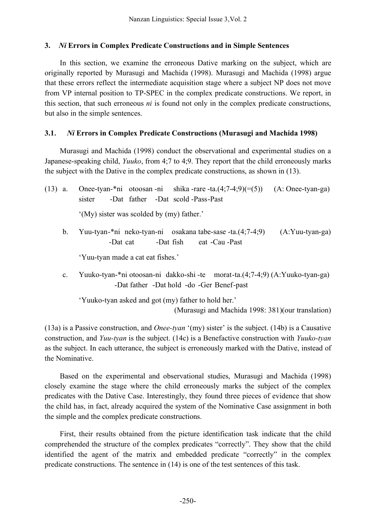# **3.** *Ni* **Errors in Complex Predicate Constructions and in Simple Sentences**

In this section, we examine the erroneous Dative marking on the subject, which are originally reported by Murasugi and Machida (1998). Murasugi and Machida (1998) argue that these errors reflect the intermediate acquisition stage where a subject NP does not move from VP internal position to TP-SPEC in the complex predicate constructions. We report, in this section, that such erroneous *ni* is found not only in the complex predicate constructions, but also in the simple sentences.

# **3.1**. *Ni* **Errors in Complex Predicate Constructions (Murasugi and Machida 1998)**

Murasugi and Machida (1998) conduct the observational and experimental studies on a Japanese-speaking child, *Yuuko*, from 4;7 to 4;9. They report that the child erroneously marks the subject with the Dative in the complex predicate constructions, as shown in (13).

| $(13)$ a. |                | Onee-tyan-*ni otoosan -ni shika -rare -ta. $(4,7-4,9)(=(5))$ $(A: Onee-tyan-ga)$ |          |  |                                  |  |                   |
|-----------|----------------|----------------------------------------------------------------------------------|----------|--|----------------------------------|--|-------------------|
|           |                | sister                                                                           |          |  | -Dat father -Dat scold-Pass-Past |  |                   |
|           |                | '(My) sister was scolded by (my) father.'                                        |          |  |                                  |  |                   |
|           | $\mathbf{b}$ . | Yuu-tyan-*ni neko-tyan-ni osakana tabe-sase -ta. $(4,7-4,9)$                     | -Dat cat |  | -Dat fish eat -Cau -Past         |  | $(A:Yuu-tyan-ga)$ |
|           |                | 'Yuu-tyan made a cat eat fishes.'                                                |          |  |                                  |  |                   |

c. Yuuko-tyan-\*ni otoosan-ni dakko-shi -te morat-ta.(4;7-4;9) (A:Yuuko-tyan-ga) -Dat father -Dat hold -do -Ger Benef-past

'Yuuko-tyan asked and got (my) father to hold her.' (Murasugi and Machida 1998: 381)(our translation)

(13a) is a Passive construction, and *Onee-tyan* '(my) sister' is the subject. (14b) is a Causative construction, and *Yuu-tyan* is the subject. (14c) is a Benefactive construction with *Yuuko-tyan* as the subject. In each utterance, the subject is erroneously marked with the Dative, instead of the Nominative.

Based on the experimental and observational studies, Murasugi and Machida (1998) closely examine the stage where the child erroneously marks the subject of the complex predicates with the Dative Case. Interestingly, they found three pieces of evidence that show the child has, in fact, already acquired the system of the Nominative Case assignment in both the simple and the complex predicate constructions.

First, their results obtained from the picture identification task indicate that the child comprehended the structure of the complex predicates "correctly". They show that the child identified the agent of the matrix and embedded predicate "correctly" in the complex predicate constructions. The sentence in (14) is one of the test sentences of this task.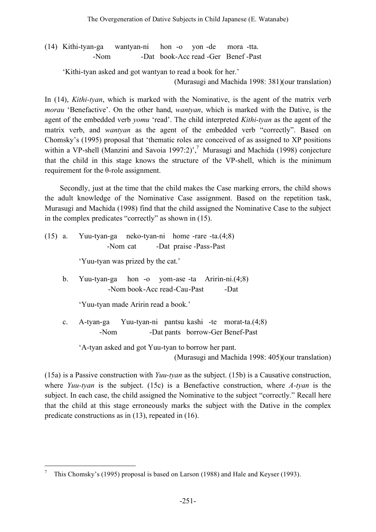(14) Kithi-tyan-ga wantyan-ni hon -o yon -de mora -tta. -Nom -Dat book-Acc read -Ger Benef -Past

'Kithi-tyan asked and got wantyan to read a book for her.'

(Murasugi and Machida 1998: 381)(our translation)

In (14), *Kithi-tyan*, which is marked with the Nominative, is the agent of the matrix verb *morau* 'Benefactive'. On the other hand, *wantyan*, which is marked with the Dative, is the agent of the embedded verb *yomu* 'read'. The child interpreted *Kithi-tyan* as the agent of the matrix verb, and *wantyan* as the agent of the embedded verb "correctly". Based on Chomsky's (1995) proposal that 'thematic roles are conceived of as assigned to XP positions within a VP-shell (Manzini and Savoia 1997:2)',<sup>7</sup> Murasugi and Machida (1998) conjecture that the child in this stage knows the structure of the VP-shell, which is the minimum requirement for the θ-role assignment.

Secondly, just at the time that the child makes the Case marking errors, the child shows the adult knowledge of the Nominative Case assignment. Based on the repetition task, Murasugi and Machida (1998) find that the child assigned the Nominative Case to the subject in the complex predicates "correctly" as shown in (15).

(15) a. Yuu-tyan-ga neko-tyan-ni home -rare -ta.(4;8) -Nom cat -Dat praise -Pass-Past

'Yuu-tyan was prized by the cat.'

b. Yuu-tyan-ga hon -o yom-ase -ta Aririn-ni.(4;8) -Nom book-Acc read-Cau-Past -Dat

'Yuu-tyan made Aririn read a book.'

c. A-tyan-ga Yuu-tyan-ni pantsu kashi -te morat-ta.(4;8) -Nom -Dat pants borrow-Ger Benef-Past

'A-tyan asked and got Yuu-tyan to borrow her pant.

(Murasugi and Machida 1998: 405)(our translation)

(15a) is a Passive construction with *Yuu-tyan* as the subject. (15b) is a Causative construction, where *Yuu-tyan* is the subject. (15c) is a Benefactive construction, where *A-tyan* is the subject. In each case, the child assigned the Nominative to the subject "correctly." Recall here that the child at this stage erroneously marks the subject with the Dative in the complex predicate constructions as in (13), repeated in (16).

 <sup>7</sup> This Chomsky's (1995) proposal is based on Larson (1988) and Hale and Keyser (1993).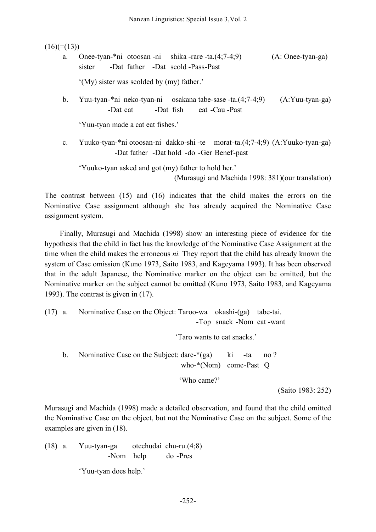$(16)(=(13))$ 

a. Onee-tyan-\*ni otoosan -ni shika -rare -ta.(4;7-4;9) (A: Onee-tyan-ga) sister -Dat father -Dat scold -Pass-Past

'(My) sister was scolded by (my) father.'

b. Yuu-tyan-\*ni neko-tyan-ni osakana tabe-sase -ta.(4;7-4;9) (A:Yuu-tyan-ga) -Dat cat -Dat fish eat -Cau -Past

'Yuu-tyan made a cat eat fishes.'

c. Yuuko-tyan-\*ni otoosan-ni dakko-shi -te morat-ta.(4;7-4;9) (A:Yuuko-tyan-ga) -Dat father -Dat hold -do -Ger Benef-past

'Yuuko-tyan asked and got (my) father to hold her.'

(Murasugi and Machida 1998: 381)(our translation)

The contrast between (15) and (16) indicates that the child makes the errors on the Nominative Case assignment although she has already acquired the Nominative Case assignment system.

Finally, Murasugi and Machida (1998) show an interesting piece of evidence for the hypothesis that the child in fact has the knowledge of the Nominative Case Assignment at the time when the child makes the erroneous *ni.* They report that the child has already known the system of Case omission (Kuno 1973, Saito 1983, and Kageyama 1993). It has been observed that in the adult Japanese, the Nominative marker on the object can be omitted, but the Nominative marker on the subject cannot be omitted (Kuno 1973, Saito 1983, and Kageyama 1993). The contrast is given in (17).

(17) a. Nominative Case on the Object: Taroo-wa okashi-(ga) tabe-tai. -Top snack -Nom eat -want

'Taro wants to eat snacks.'

b. Nominative Case on the Subject: dare-\*(ga) ki -ta no ? who-\*(Nom) come-Past Q

'Who came?'

(Saito 1983: 252)

Murasugi and Machida (1998) made a detailed observation, and found that the child omitted the Nominative Case on the object, but not the Nominative Case on the subject. Some of the examples are given in (18).

(18) a. Yuu-tyan-ga otechudai chu-ru.(4;8) -Nom help do -Pres

'Yuu-tyan does help.'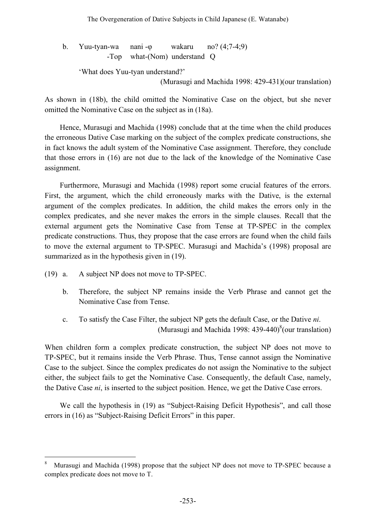b. Yuu-tyan-wa nani -φ wakaru no? (4;7-4;9) -Top what-(Nom) understand Q

'What does Yuu-tyan understand?'

(Murasugi and Machida 1998: 429-431)(our translation)

As shown in (18b), the child omitted the Nominative Case on the object, but she never omitted the Nominative Case on the subject as in (18a).

Hence, Murasugi and Machida (1998) conclude that at the time when the child produces the erroneous Dative Case marking on the subject of the complex predicate constructions, she in fact knows the adult system of the Nominative Case assignment. Therefore, they conclude that those errors in (16) are not due to the lack of the knowledge of the Nominative Case assignment.

Furthermore, Murasugi and Machida (1998) report some crucial features of the errors. First, the argument, which the child erroneously marks with the Dative, is the external argument of the complex predicates. In addition, the child makes the errors only in the complex predicates, and she never makes the errors in the simple clauses. Recall that the external argument gets the Nominative Case from Tense at TP-SPEC in the complex predicate constructions. Thus, they propose that the case errors are found when the child fails to move the external argument to TP-SPEC. Murasugi and Machida's (1998) proposal are summarized as in the hypothesis given in (19).

- (19) a. A subject NP does not move to TP-SPEC.
	- b. Therefore, the subject NP remains inside the Verb Phrase and cannot get the Nominative Case from Tense.
	- c. To satisfy the Case Filter, the subject NP gets the default Case, or the Dative *ni*. (Murasugi and Machida 1998: 439-440) $^{8}$ (our translation)

When children form a complex predicate construction, the subject NP does not move to TP-SPEC, but it remains inside the Verb Phrase. Thus, Tense cannot assign the Nominative Case to the subject. Since the complex predicates do not assign the Nominative to the subject either, the subject fails to get the Nominative Case. Consequently, the default Case, namely, the Dative Case *ni*, is inserted to the subject position. Hence, we get the Dative Case errors.

We call the hypothesis in (19) as "Subject-Raising Deficit Hypothesis", and call those errors in (16) as "Subject-Raising Deficit Errors" in this paper.

Murasugi and Machida (1998) propose that the subject NP does not move to TP-SPEC because a complex predicate does not move to T.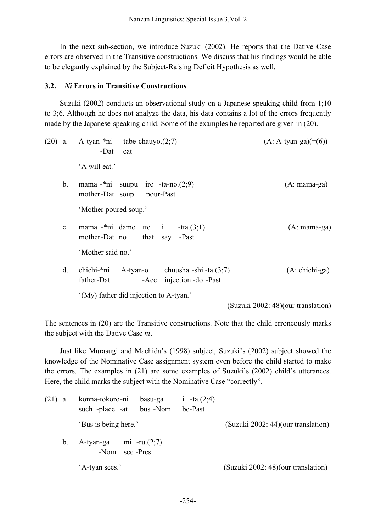In the next sub-section, we introduce Suzuki (2002). He reports that the Dative Case errors are observed in the Transitive constructions. We discuss that his findings would be able to be elegantly explained by the Subject-Raising Deficit Hypothesis as well.

### **3.2.** *Ni* **Errors in Transitive Constructions**

Suzuki (2002) conducts an observational study on a Japanese-speaking child from 1;10 to 3;6. Although he does not analyze the data, his data contains a lot of the errors frequently made by the Japanese-speaking child. Some of the examples he reported are given in (20).

| $(20)$ a. |                | A-tyan-*ni<br>tabe-chauyo. $(2,7)$<br>-Dat<br>eat                                                     | $(A: A-tyan-ga)(=(6))$             |
|-----------|----------------|-------------------------------------------------------------------------------------------------------|------------------------------------|
|           |                | 'A will eat.'                                                                                         |                                    |
|           | $\mathbf{b}$ . | mama $\text{-}^*$ ni suupu ire $\text{-}^*$ ta $\text{-}n$ o. $(2,9)$<br>mother-Dat soup<br>pour-Past | $(A: \text{mana-ga})$              |
|           |                | 'Mother poured soup.'                                                                                 |                                    |
|           | C <sub>1</sub> | mama -*ni dame tte i<br>$-{\rm tta}.(3;1)$<br>mother-Dat no<br>that<br>-Past<br>say                   | $(A: \text{mana-ga})$              |
|           |                | 'Mother said no.'                                                                                     |                                    |
|           | $\mathbf{d}$ . | chichi-*ni<br>A-tyan-o<br>chuusha -shi -ta. $(3,7)$<br>father-Dat<br>injection - do - Past<br>-Acc    | $(A: chichi-ga)$                   |
|           |                | '(My) father did injection to A-tyan.'                                                                | (Suzuki 2002: 48)(our translation) |

The sentences in (20) are the Transitive constructions. Note that the child erroneously marks the subject with the Dative Case *ni*.

Just like Murasugi and Machida's (1998) subject, Suzuki's (2002) subject showed the knowledge of the Nominative Case assignment system even before the child started to make the errors. The examples in (21) are some examples of Suzuki's (2002) child's utterances. Here, the child marks the subject with the Nominative Case "correctly".

| $(21)$ a. | konna-tokoro-ni<br>such -place -at | basu-ga<br>bus -Nom          | i $-ta(2,4)$<br>be-Past |                                    |
|-----------|------------------------------------|------------------------------|-------------------------|------------------------------------|
|           | 'Bus is being here.'               |                              |                         | (Suzuki 2002: 44)(our translation) |
| b.        | A-tyan-ga<br>-Nom                  | mi -ru. $(2,7)$<br>see -Pres |                         |                                    |
|           | 'A-tyan sees.'                     |                              |                         | (Suzuki 2002: 48)(our translation) |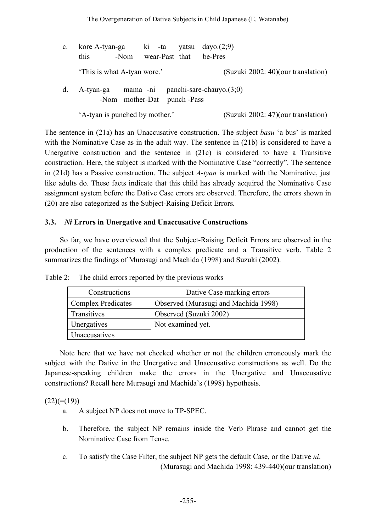| $\mathbf{c}$ . | kore A-tyan-ga $\overline{ki}$ -ta yatsu dayo.(2;9) |                            |  |  |  |                                             |
|----------------|-----------------------------------------------------|----------------------------|--|--|--|---------------------------------------------|
|                | this                                                | -Nom                       |  |  |  | wear-Past that be-Pres                      |
|                | 'This is what A-tyan wore.'                         |                            |  |  |  | (Suzuki 2002: 40)(our translation)          |
| d.             |                                                     | -Nom mother-Dat punch-Pass |  |  |  | A-tyan-ga mama -ni panchi-sare-chauyo.(3;0) |

The sentence in (21a) has an Unaccusative construction. The subject *basu* 'a bus' is marked with the Nominative Case as in the adult way. The sentence in (21b) is considered to have a Unergative construction and the sentence in (21c) is considered to have a Transitive construction. Here, the subject is marked with the Nominative Case "correctly". The sentence in (21d) has a Passive construction. The subject *A-tyan* is marked with the Nominative, just like adults do. These facts indicate that this child has already acquired the Nominative Case assignment system before the Dative Case errors are observed. Therefore, the errors shown in (20) are also categorized as the Subject-Raising Deficit Errors.

## **3.3.** *Ni* **Errors in Unergative and Unaccusative Constructions**

So far, we have overviewed that the Subject-Raising Deficit Errors are observed in the production of the sentences with a complex predicate and a Transitive verb. Table 2 summarizes the findings of Murasugi and Machida (1998) and Suzuki (2002).

| Constructions             | Dative Case marking errors           |
|---------------------------|--------------------------------------|
| <b>Complex Predicates</b> | Observed (Murasugi and Machida 1998) |
| Transitives               | Observed (Suzuki 2002)               |
| <b>Unergatives</b>        | Not examined yet.                    |
| Unaccusatives             |                                      |

Table 2: The child errors reported by the previous works

Note here that we have not checked whether or not the children erroneously mark the subject with the Dative in the Unergative and Unaccusative constructions as well. Do the Japanese-speaking children make the errors in the Unergative and Unaccusative constructions? Recall here Murasugi and Machida's (1998) hypothesis.

 $(22)(=(19))$ 

- a. A subject NP does not move to TP-SPEC.
- b. Therefore, the subject NP remains inside the Verb Phrase and cannot get the Nominative Case from Tense.
- c. To satisfy the Case Filter, the subject NP gets the default Case, or the Dative *ni*. (Murasugi and Machida 1998: 439-440)(our translation)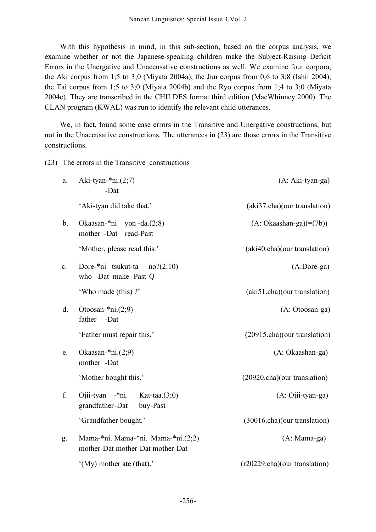With this hypothesis in mind, in this sub-section, based on the corpus analysis, we examine whether or not the Japanese-speaking children make the Subject-Raising Deficit Errors in the Unergative and Unaccusative constructions as well. We examine four corpora, the Aki corpus from 1;5 to 3;0 (Miyata 2004a), the Jun corpus from 0;6 to 3;8 (Ishii 2004), the Tai corpus from 1;5 to 3;0 (Miyata 2004b) and the Ryo corpus from 1;4 to 3;0 (Miyata 2004c). They are transcribed in the CHILDES format third edition (MacWhinney 2000). The CLAN program (KWAL) was run to identify the relevant child utterances.

We, in fact, found some case errors in the Transitive and Unergative constructions, but not in the Unaccusative constructions. The utterances in (23) are those errors in the Transitive constructions.

(23) The errors in the Transitive constructions

| a. | Aki-tyan- $*ni.(2;7)$<br>-Dat                                          | (A: Aki-tyan-ga)              |
|----|------------------------------------------------------------------------|-------------------------------|
|    | 'Aki-tyan did take that.'                                              | (aki37.cha)(our translation)  |
| b. | Okaasan-*ni<br>yon $-da.(2;8)$<br>mother -Dat<br>read-Past             | $(A: Okaashan-ga)(=(7b))$     |
|    | 'Mother, please read this.'                                            | (aki40.cha)(our translation)  |
| c. | Dore-*ni tsukut-ta<br>no? (2:10)<br>who -Dat make -Past Q              | $(A:Dore-ga)$                 |
|    | 'Who made (this)?'                                                     | (aki51.cha)(our translation)  |
| d. | Otoosan- $*ni.(2;9)$<br>father<br>-Dat                                 | (A: Otoosan-ga)               |
|    | 'Father must repair this.'                                             | (20915.cha)(our translation)  |
| e. | Okaasan- $*ni.(2;9)$<br>mother -Dat                                    | (A: Okaashan-ga)              |
|    | 'Mother bought this.'                                                  | (20920.cha)(our translation)  |
| f. | Ojii-tyan -*ni.<br>Kat-taa. $(3,0)$<br>grandfather-Dat<br>buy-Past     | (A: Ojii-tyan-ga)             |
|    | 'Grandfather bought.'                                                  | (30016.cha)(our translation)  |
| g. | Mama-*ni. Mama-*ni. Mama-*ni.(2;2)<br>mother-Dat mother-Dat mother-Dat | $(A: Mama-ga)$                |
|    | $^{\circ}$ (My) mother ate (that).                                     | (r20229.cha)(our translation) |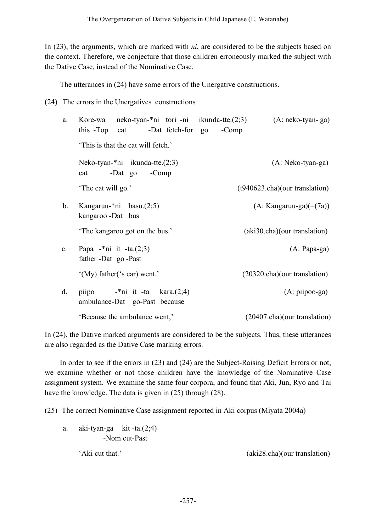In (23), the arguments, which are marked with *ni*, are considered to be the subjects based on the context. Therefore, we conjecture that those children erroneously marked the subject with the Dative Case, instead of the Nominative Case.

The utterances in (24) have some errors of the Unergative constructions.

(24) The errors in the Unergatives constructions

| a.             | Kore-wa neko-tyan-*ni tori-ni ikunda-tte. $(2,3)$<br>this -Top cat<br>-Dat fetch-for go | $-Comp$ | $(A: neko-tyan-ga)$                     |
|----------------|-----------------------------------------------------------------------------------------|---------|-----------------------------------------|
|                | This is that the cat will fetch.'                                                       |         |                                         |
|                | Neko-tyan-*ni ikunda-tte. $(2,3)$<br>-Dat go -Comp<br>cat                               |         | (A: Neko-tyan-ga)                       |
|                | 'The cat will go.'                                                                      |         | (t940623.cha)(our translation)          |
| $\mathbf{b}$ . | Kangaruu- $\text{*}$ ni basu. $(2,5)$<br>kangaroo -Dat bus                              |         | $(A: Kangaruu-ga)(=(7a))$               |
|                | The kangaroo got on the bus.'                                                           |         | (aki30.cha)(our translation)            |
| $\mathbf{c}$ . | Papa -*ni it -ta. $(2,3)$<br>father -Dat go -Past                                       |         | $(A: Papa-ga)$                          |
|                | '(My) father('s car) went.'                                                             |         | $(20320 \text{ cha})(our translation)$  |
| d.             | piipo $-$ *ni it -ta kara. $(2,4)$<br>ambulance-Dat go-Past because                     |         | $(A: piipoo-ga)$                        |
|                | 'Because the ambulance went,'                                                           |         | $(20407 \text{ cha})$ (our translation) |

In (24), the Dative marked arguments are considered to be the subjects. Thus, these utterances are also regarded as the Dative Case marking errors.

In order to see if the errors in (23) and (24) are the Subject-Raising Deficit Errors or not, we examine whether or not those children have the knowledge of the Nominative Case assignment system. We examine the same four corpora, and found that Aki, Jun, Ryo and Tai have the knowledge. The data is given in (25) through (28).

(25) The correct Nominative Case assignment reported in Aki corpus (Miyata 2004a)

a. aki-tyan-ga kit -ta. $(2,4)$ -Nom cut-Past

'Aki cut that.' (aki28.cha)(our translation)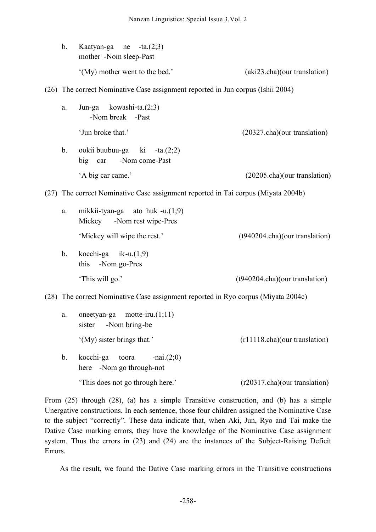|      | $\mathbf b$ .                                                                     | Kaatyan-ga ne<br>$-ta.(2;3)$<br>mother -Nom sleep-Past                 |                                |  |
|------|-----------------------------------------------------------------------------------|------------------------------------------------------------------------|--------------------------------|--|
|      |                                                                                   | '(My) mother went to the bed.'                                         | (aki23.cha)(our translation)   |  |
|      | (26) The correct Nominative Case assignment reported in Jun corpus (Ishii 2004)   |                                                                        |                                |  |
|      | a.                                                                                | kowashi-ta. $(2,3)$<br>Jun-ga<br>-Nom break -Past                      |                                |  |
|      |                                                                                   | 'Jun broke that.'                                                      | (20327.cha)(our translation)   |  |
|      | $\mathbf b$ .                                                                     | ookii buubuu-ga ki<br>$-ta.(2;2)$<br>-Nom come-Past<br>big car         |                                |  |
|      |                                                                                   | 'A big car came.'                                                      | (20205.cha)(our translation)   |  |
| (27) | The correct Nominative Case assignment reported in Tai corpus (Miyata 2004b)      |                                                                        |                                |  |
|      | a.                                                                                | mikkii-tyan-ga<br>ato huk -u. $(1,9)$<br>Mickey<br>-Nom rest wipe-Pres |                                |  |
|      |                                                                                   | 'Mickey will wipe the rest.'                                           | (t940204.cha)(our translation) |  |
|      | $b_{\cdot}$                                                                       | kocchi-ga $ik-u(1,9)$<br>this<br>-Nom go-Pres                          |                                |  |
|      |                                                                                   | 'This will go.'                                                        | (t940204.cha)(our translation) |  |
|      | (28) The correct Nominative Case assignment reported in Ryo corpus (Miyata 2004c) |                                                                        |                                |  |
|      | a.                                                                                | motte-iru. $(1;11)$<br>oneetyan-ga<br>-Nom bring-be<br>sister          |                                |  |
|      |                                                                                   | '(My) sister brings that.'                                             | (r11118.cha)(our translation)  |  |
|      |                                                                                   |                                                                        |                                |  |

b. kocchi-ga toora -nai. $(2,0)$ here -Nom go through-not 'This does not go through here.' (r20317.cha)(our translation)

From (25) through (28), (a) has a simple Transitive construction, and (b) has a simple Unergative constructions. In each sentence, those four children assigned the Nominative Case to the subject "correctly". These data indicate that, when Aki, Jun, Ryo and Tai make the Dative Case marking errors, they have the knowledge of the Nominative Case assignment system. Thus the errors in (23) and (24) are the instances of the Subject-Raising Deficit Errors.

As the result, we found the Dative Case marking errors in the Transitive constructions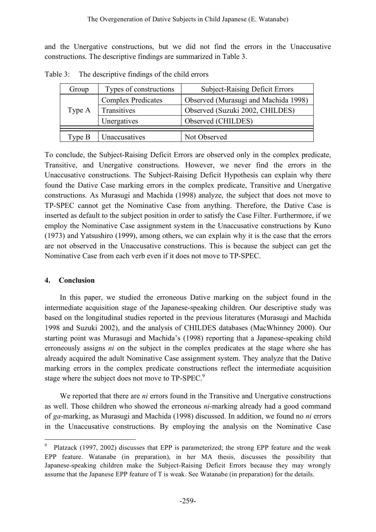and the Unergative constructions, but we did not find the errors in the Unaccusative constructions. The descriptive findings are summarized in Table 3.

| Group    | Types of constructions    | <b>Subject-Raising Deficit Errors</b> |  |
|----------|---------------------------|---------------------------------------|--|
|          | <b>Complex Predicates</b> | Observed (Murasugi and Machida 1998)  |  |
| Type A   | Transitives               | Observed (Suzuki 2002, CHILDES)       |  |
|          | Unergatives               | Observed (CHILDES)                    |  |
|          |                           |                                       |  |
| Type $B$ | Unaccusatives             | Not Observed                          |  |

Table 3: The descriptive findings of the child errors

To conclude, the Subject-Raising Deficit Errors are observed only in the complex predicate, Transitive, and Unergative constructions. However, we never find the errors in the Unaccusative constructions. The Subject-Raising Deficit Hypothesis can explain why there found the Dative Case marking errors in the complex predicate, Transitive and Unergative constructions. As Murasugi and Machida (1998) analyze, the subject that does not move to TP-SPEC cannot get the Nominative Case from anything. Therefore, the Dative Case is inserted as default to the subject position in order to satisfy the Case Filter. Furthermore, if we employ the Nominative Case assignment system in the Unaccusative constructions by Kuno (1973) and Yatsushiro (1999), among others, we can explain why it is the case that the errors are not observed in the Unaccusative constructions. This is because the subject can get the Nominative Case from each verb even if it does not move to TP-SPEC.

#### **4. Conclusion**

In this paper, we studied the erroneous Dative marking on the subject found in the intermediate acquisition stage of the Japanese-speaking children. Our descriptive study was based on the longitudinal studies reported in the previous literatures (Murasugi and Machida 1998 and Suzuki 2002), and the analysis of CHILDES databases (MacWhinney 2000). Our starting point was Murasugi and Machida's (1998) reporting that a Japanese-speaking child erroneously assigns *ni* on the subject in the complex predicates at the stage where she has already acquired the adult Nominative Case assignment system. They analyze that the Dative marking errors in the complex predicate constructions reflect the intermediate acquisition stage where the subject does not move to TP-SPEC.<sup>9</sup>

We reported that there are *ni* errors found in the Transitive and Unergative constructions as well. Those children who showed the erroneous *ni*-marking already had a good command of *ga*-marking, as Murasugi and Machida (1998) discussed. In addition, we found no *ni* errors in the Unaccusative constructions. By employing the analysis on the Nominative Case

 <sup>9</sup> Platzack (1997, 2002) discusses that EPP is parameterized; the strong EPP feature and the weak EPP feature. Watanabe (in preparation), in her MA thesis, discusses the possibility that Japanese-speaking children make the Subject-Raising Deficit Errors because they may wrongly assume that the Japanese EPP feature of T is weak. See Watanabe (in preparation) for the details.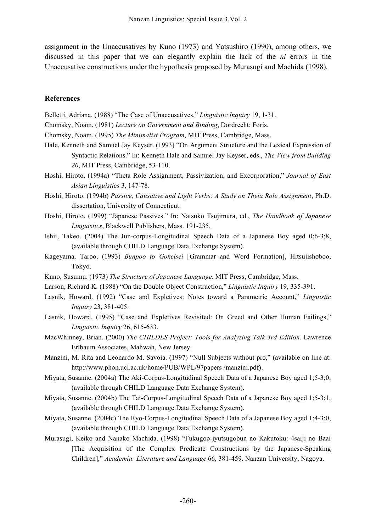assignment in the Unaccusatives by Kuno (1973) and Yatsushiro (1990), among others, we discussed in this paper that we can elegantly explain the lack of the *ni* errors in the Unaccusative constructions under the hypothesis proposed by Murasugi and Machida (1998).

#### **References**

Belletti, Adriana. (1988) "The Case of Unaccusatives," *Linguistic Inquiry* 19, 1-31.

Chomsky, Noam. (1981) *Lecture on Government and Binding*, Dordrecht: Foris.

Chomsky, Noam. (1995) *The Minimalist Program*, MIT Press, Cambridge, Mass.

- Hale, Kenneth and Samuel Jay Keyser. (1993) "On Argument Structure and the Lexical Expression of Syntactic Relations." In: Kenneth Hale and Samuel Jay Keyser, eds., *The View from Building 20*, MIT Press, Cambridge, 53-110.
- Hoshi, Hiroto. (1994a) "Theta Role Assignment, Passivization, and Excorporation," *Journal of East Asian Linguistics* 3, 147-78.
- Hoshi, Hiroto. (1994b) *Passive, Causative and Light Verbs: A Study on Theta Role Assignment*, Ph.D. dissertation, University of Connecticut.
- Hoshi, Hiroto. (1999) "Japanese Passives." In: Natsuko Tsujimura, ed., *The Handbook of Japanese Linguistics*, Blackwell Publishers, Mass. 191-235.
- Ishii, Takeo. (2004) The Jun-corpus-Longitudinal Speech Data of a Japanese Boy aged 0;6-3;8, (available through CHILD Language Data Exchange System).
- Kageyama, Taroo. (1993) *Bunpoo to Gokeisei* [Grammar and Word Formation], Hitsujishoboo, Tokyo.
- Kuno, Susumu. (1973) *The Structure of Japanese Language*. MIT Press, Cambridge, Mass.
- Larson, Richard K. (1988) "On the Double Object Construction," *Linguistic Inquiry* 19, 335-391.
- Lasnik, Howard. (1992) "Case and Expletives: Notes toward a Parametric Account," *Linguistic Inquiry* 23, 381-405.
- Lasnik, Howard. (1995) "Case and Expletives Revisited: On Greed and Other Human Failings," *Linguistic Inquiry* 26, 615-633.
- MacWhinney, Brian. (2000) *The CHILDES Project: Tools for Analyzing Talk 3rd Edition.* Lawrence Erlbaum Associates, Mahwah, New Jersey.
- Manzini, M. Rita and Leonardo M. Savoia. (1997) "Null Subjects without pro," (available on line at: http://www.phon.ucl.ac.uk/home/PUB/WPL/97papers /manzini.pdf).
- Miyata, Susanne. (2004a) The Aki-Corpus-Longitudinal Speech Data of a Japanese Boy aged 1;5-3;0, (available through CHILD Language Data Exchange System).
- Miyata, Susanne. (2004b) The Tai-Corpus-Longitudinal Speech Data of a Japanese Boy aged 1;5-3;1, (available through CHILD Language Data Exchange System).
- Miyata, Susanne. (2004c) The Ryo-Corpus-Longitudinal Speech Data of a Japanese Boy aged 1;4-3;0, (available through CHILD Language Data Exchange System).
- Murasugi, Keiko and Nanako Machida. (1998) "Fukugoo-jyutsugobun no Kakutoku: 4saiji no Baai [The Acquisition of the Complex Predicate Constructions by the Japanese-Speaking Children]," *Academia: Literature and Language* 66, 381-459. Nanzan University, Nagoya.